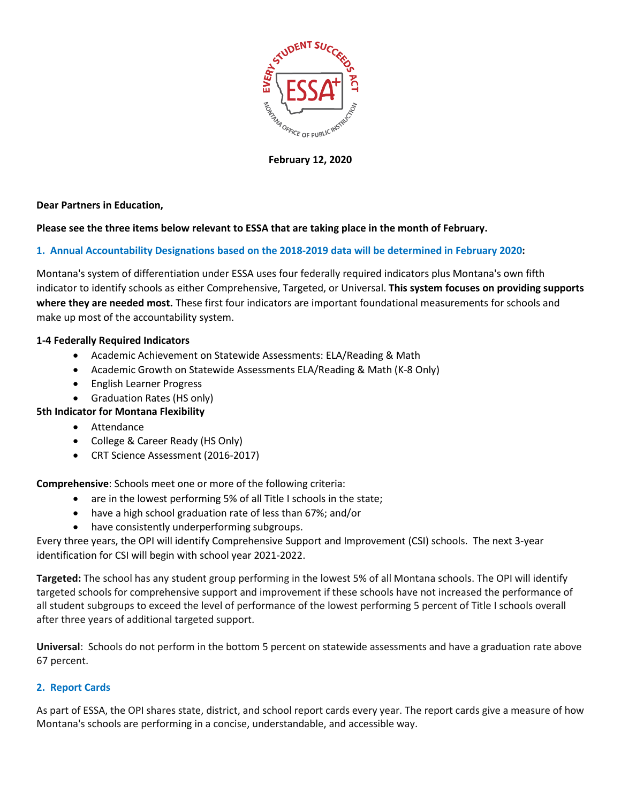

**February 12, 2020**

**Dear Partners in Education,** 

## **Please see the three items below relevant to ESSA that are taking place in the month of February.**

## **1. Annual Accountability Designations based on the 2018-2019 data will be determined in February 2020:**

Montana's system of differentiation under ESSA uses four federally required indicators plus Montana's own fifth indicator to identify schools as either Comprehensive, Targeted, or Universal. **This system focuses on providing supports where they are needed most.** These first four indicators are important foundational measurements for schools and make up most of the accountability system.

#### **1-4 Federally Required Indicators**

- Academic Achievement on Statewide Assessments: ELA/Reading & Math
- Academic Growth on Statewide Assessments ELA/Reading & Math (K-8 Only)
- English Learner Progress
- Graduation Rates (HS only)

## **5th Indicator for Montana Flexibility**

- Attendance
- College & Career Ready (HS Only)
- CRT Science Assessment (2016-2017)

**Comprehensive**: Schools meet one or more of the following criteria:

- are in the lowest performing 5% of all Title I schools in the state;
- have a high school graduation rate of less than 67%; and/or
- have consistently underperforming subgroups.

Every three years, the OPI will identify Comprehensive Support and Improvement (CSI) schools. The next 3-year identification for CSI will begin with school year 2021-2022.

**Targeted:** The school has any student group performing in the lowest 5% of all Montana schools. The OPI will identify targeted schools for comprehensive support and improvement if these schools have not increased the performance of all student subgroups to exceed the level of performance of the lowest performing 5 percent of Title I schools overall after three years of additional targeted support.

**Universal**: Schools do not perform in the bottom 5 percent on statewide assessments and have a graduation rate above 67 percent.

## **2. Report Cards**

As part of ESSA, the OPI shares state, district, and school report cards every year. The report cards give a measure of how Montana's schools are performing in a concise, understandable, and accessible way.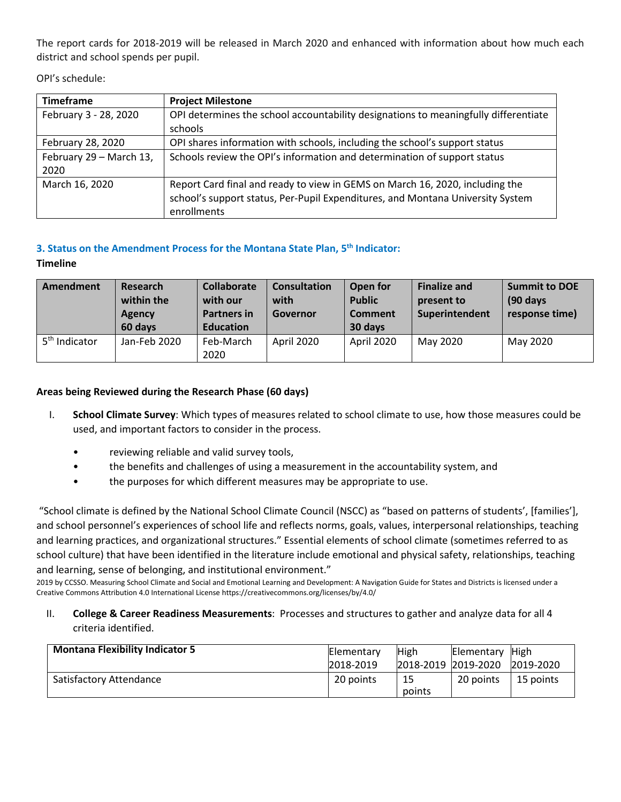The report cards for 2018-2019 will be released in March 2020 and enhanced with information about how much each district and school spends per pupil.

OPI's schedule:

| <b>Timeframe</b>        | <b>Project Milestone</b>                                                            |
|-------------------------|-------------------------------------------------------------------------------------|
| February 3 - 28, 2020   | OPI determines the school accountability designations to meaningfully differentiate |
|                         | schools                                                                             |
| February 28, 2020       | OPI shares information with schools, including the school's support status          |
| February 29 - March 13, | Schools review the OPI's information and determination of support status            |
| 2020                    |                                                                                     |
| March 16, 2020          | Report Card final and ready to view in GEMS on March 16, 2020, including the        |
|                         | school's support status, Per-Pupil Expenditures, and Montana University System      |
|                         | enrollments                                                                         |

# **3. Status on the Amendment Process for the Montana State Plan, 5th Indicator:**

**Timeline**

| Amendment                 | Research<br>within the<br><b>Agency</b><br>60 days | <b>Collaborate</b><br>with our<br><b>Partners in</b><br><b>Education</b> | <b>Consultation</b><br>with<br><b>Governor</b> | Open for<br><b>Public</b><br><b>Comment</b><br>30 days | <b>Finalize and</b><br>present to<br>Superintendent | <b>Summit to DOE</b><br>$(90 \text{ days})$<br>response time) |
|---------------------------|----------------------------------------------------|--------------------------------------------------------------------------|------------------------------------------------|--------------------------------------------------------|-----------------------------------------------------|---------------------------------------------------------------|
| 5 <sup>th</sup> Indicator | Jan-Feb 2020                                       | Feb-March<br>2020                                                        | April 2020                                     | April 2020                                             | May 2020                                            | May 2020                                                      |

## **Areas being Reviewed during the Research Phase (60 days)**

- I. **School Climate Survey**: Which types of measures related to school climate to use, how those measures could be used, and important factors to consider in the process.
	- reviewing reliable and valid survey tools,
	- the benefits and challenges of using a measurement in the accountability system, and
	- the purposes for which different measures may be appropriate to use.

"School climate is defined by the National School Climate Council (NSCC) as "based on patterns of students', [families'], and school personnel's experiences of school life and reflects norms, goals, values, interpersonal relationships, teaching and learning practices, and organizational structures." Essential elements of school climate (sometimes referred to as school culture) that have been identified in the literature include emotional and physical safety, relationships, teaching and learning, sense of belonging, and institutional environment."

2019 by CCSSO. Measuring School Climate and Social and Emotional Learning and Development: A Navigation Guide for States and Districts is licensed under a Creative Commons Attribution 4.0 International License https://creativecommons.org/licenses/by/4.0/

II. **College & Career Readiness Measurements**: Processes and structures to gather and analyze data for all 4 criteria identified.

| <b>Montana Flexibility Indicator 5</b> | Elementary<br>2018-2019 | High   | Elementary High<br>2018-2019 2019-2020 | 2019-2020 |
|----------------------------------------|-------------------------|--------|----------------------------------------|-----------|
| Satisfactory Attendance                | 20 points               | points | 20 points                              | 15 points |